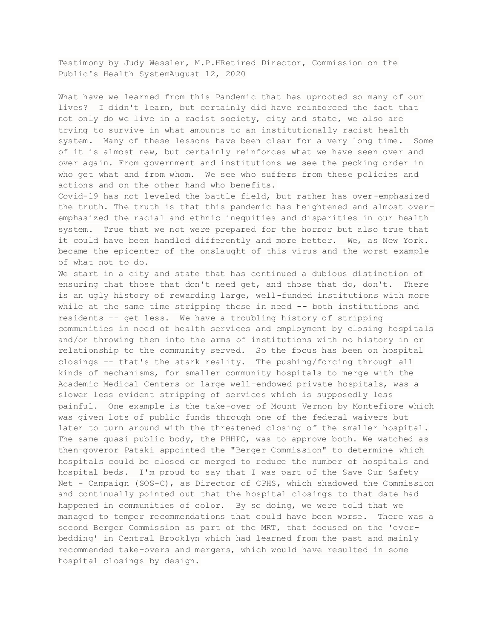Testimony by Judy Wessler, M.P.HRetired Director, Commission on the Public's Health SystemAugust 12, 2020

What have we learned from this Pandemic that has uprooted so many of our lives? I didn't learn, but certainly did have reinforced the fact that not only do we live in a racist society, city and state, we also are trying to survive in what amounts to an institutionally racist health system. Many of these lessons have been clear for a very long time. Some of it is almost new, but certainly reinforces what we have seen over and over again. From government and institutions we see the pecking order in who get what and from whom. We see who suffers from these policies and actions and on the other hand who benefits.

Covid-19 has not leveled the battle field, but rather has over-emphasized the truth. The truth is that this pandemic has heightened and almost overemphasized the racial and ethnic inequities and disparities in our health system. True that we not were prepared for the horror but also true that it could have been handled differently and more better. We, as New York. became the epicenter of the onslaught of this virus and the worst example of what not to do.

We start in a city and state that has continued a dubious distinction of ensuring that those that don't need get, and those that do, don't. There is an ugly history of rewarding large, well-funded institutions with more while at the same time stripping those in need -- both institutions and residents -- get less. We have a troubling history of stripping communities in need of health services and employment by closing hospitals and/or throwing them into the arms of institutions with no history in or relationship to the community served. So the focus has been on hospital closings -- that's the stark reality. The pushing/forcing through all kinds of mechanisms, for smaller community hospitals to merge with the Academic Medical Centers or large well-endowed private hospitals, was a slower less evident stripping of services which is supposedly less painful. One example is the take-over of Mount Vernon by Montefiore which was given lots of public funds through one of the federal waivers but later to turn around with the threatened closing of the smaller hospital. The same quasi public body, the PHHPC, was to approve both. We watched as then-goveror Pataki appointed the "Berger Commission" to determine which hospitals could be closed or merged to reduce the number of hospitals and hospital beds. I'm proud to say that I was part of the Save Our Safety Net - Campaign (SOS-C), as Director of CPHS, which shadowed the Commission and continually pointed out that the hospital closings to that date had happened in communities of color. By so doing, we were told that we managed to temper recommendations that could have been worse. There was a second Berger Commission as part of the MRT, that focused on the 'overbedding' in Central Brooklyn which had learned from the past and mainly recommended take-overs and mergers, which would have resulted in some hospital closings by design.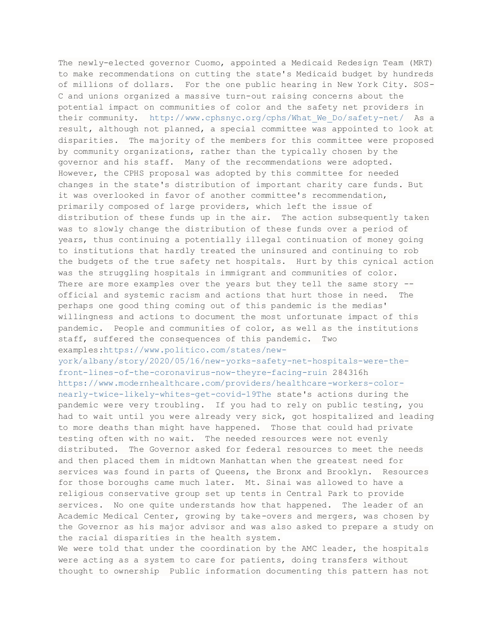The newly-elected governor Cuomo, appointed a Medicaid Redesign Team (MRT) to make recommendations on cutting the state's Medicaid budget by hundreds of millions of dollars. For the one public hearing in New York City. SOS-C and unions organized a massive turn-out raising concerns about the potential impact on communities of color and the safety net providers in their community. [http://www.cphsnyc.org/cphs/What\\_We\\_Do/safety-net/](http://www.cphsnyc.org/cphs/What_We_Do/safety-net/) As a result, although not planned, a special committee was appointed to look at disparities. The majority of the members for this committee were proposed by community organizations, rather than the typically chosen by the governor and his staff. Many of the recommendations were adopted. However, the CPHS proposal was adopted by this committee for needed changes in the state's distribution of important charity care funds. But it was overlooked in favor of another committee's recommendation, primarily composed of large providers, which left the issue of distribution of these funds up in the air. The action subsequently taken was to slowly change the distribution of these funds over a period of years, thus continuing a potentially illegal continuation of money going to institutions that hardly treated the uninsured and continuing to rob the budgets of the true safety net hospitals. Hurt by this cynical action was the struggling hospitals in immigrant and communities of color. There are more examples over the years but they tell the same story -official and systemic racism and actions that hurt those in need. The perhaps one good thing coming out of this pandemic is the medias' willingness and actions to document the most unfortunate impact of this pandemic. People and communities of color, as well as the institutions staff, suffered the consequences of this pandemic. Two examples[:https://www.politico.com/states/new](https://www.politico.com/states/new-york/albany/story/2020/05/16/new-yorks-safety-net-hospitals-were-the-front-lines-of-the-coronavirus-now-theyre-facing-ruin)[york/albany/story/2020/05/16/new-yorks-safety-net-hospitals-were-the](https://www.politico.com/states/new-york/albany/story/2020/05/16/new-yorks-safety-net-hospitals-were-the-front-lines-of-the-coronavirus-now-theyre-facing-ruin)[front-lines-of-the-coronavirus-now-theyre-facing-ruin](https://www.politico.com/states/new-york/albany/story/2020/05/16/new-yorks-safety-net-hospitals-were-the-front-lines-of-the-coronavirus-now-theyre-facing-ruin) 284316h [https://www.modernhealthcare.com/providers/healthcare-workers-color](https://www.modernhealthcare.com/providers/healthcare-workers-color-nearly-twice-likely-whites-get-covid-19The)[nearly-twice-likely-whites-get-covid-19The](https://www.modernhealthcare.com/providers/healthcare-workers-color-nearly-twice-likely-whites-get-covid-19The) state's actions during the pandemic were very troubling. If you had to rely on public testing, you had to wait until you were already very sick, got hospitalized and leading to more deaths than might have happened. Those that could had private testing often with no wait. The needed resources were not evenly distributed. The Governor asked for federal resources to meet the needs and then placed them in midtown Manhattan when the greatest need for services was found in parts of Queens, the Bronx and Brooklyn. Resources for those boroughs came much later. Mt. Sinai was allowed to have a religious conservative group set up tents in Central Park to provide services. No one quite understands how that happened. The leader of an Academic Medical Center, growing by take-overs and mergers, was chosen by the Governor as his major advisor and was also asked to prepare a study on the racial disparities in the health system.

We were told that under the coordination by the AMC leader, the hospitals were acting as a system to care for patients, doing transfers without thought to ownership Public information documenting this pattern has not